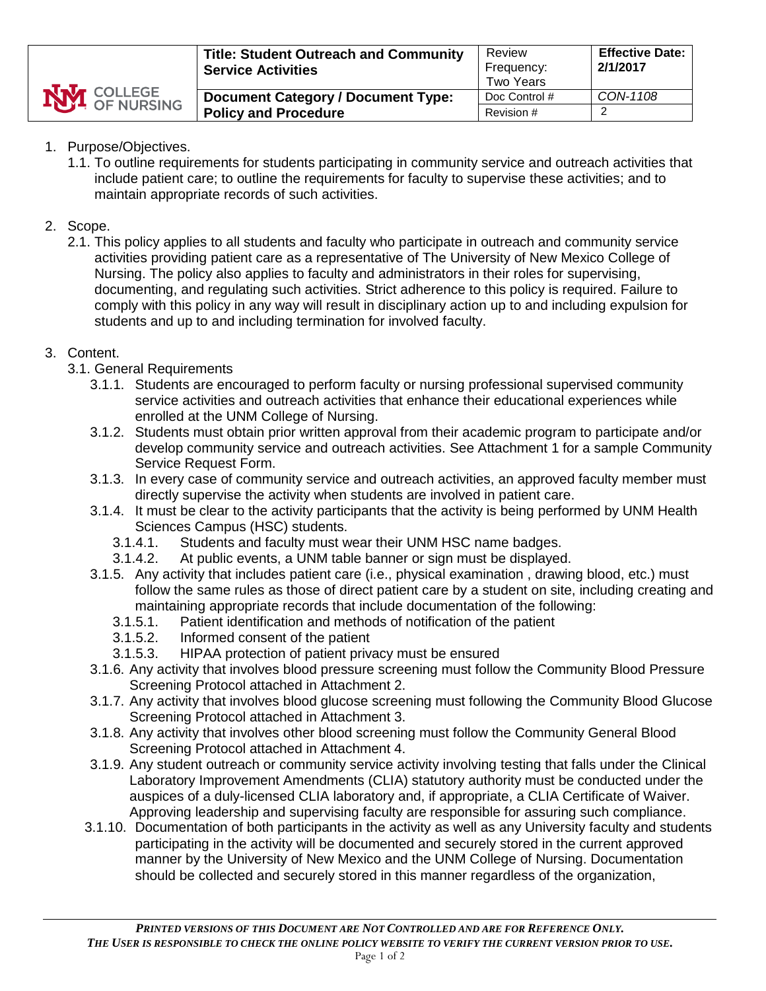

# 1. Purpose/Objectives.

1.1. To outline requirements for students participating in community service and outreach activities that include patient care; to outline the requirements for faculty to supervise these activities; and to maintain appropriate records of such activities.

# 2. Scope.

2.1. This policy applies to all students and faculty who participate in outreach and community service activities providing patient care as a representative of The University of New Mexico College of Nursing. The policy also applies to faculty and administrators in their roles for supervising, documenting, and regulating such activities. Strict adherence to this policy is required. Failure to comply with this policy in any way will result in disciplinary action up to and including expulsion for students and up to and including termination for involved faculty.

# 3. Content.

- 3.1. General Requirements
	- 3.1.1. Students are encouraged to perform faculty or nursing professional supervised community service activities and outreach activities that enhance their educational experiences while enrolled at the UNM College of Nursing.
	- 3.1.2. Students must obtain prior written approval from their academic program to participate and/or develop community service and outreach activities. See Attachment 1 for a sample Community Service Request Form.
	- 3.1.3. In every case of community service and outreach activities, an approved faculty member must directly supervise the activity when students are involved in patient care.
	- 3.1.4. It must be clear to the activity participants that the activity is being performed by UNM Health Sciences Campus (HSC) students.
		- 3.1.4.1. Students and faculty must wear their UNM HSC name badges.
		- 3.1.4.2. At public events, a UNM table banner or sign must be displayed.
	- 3.1.5. Any activity that includes patient care (i.e., physical examination , drawing blood, etc.) must follow the same rules as those of direct patient care by a student on site, including creating and maintaining appropriate records that include documentation of the following:
		- 3.1.5.1. Patient identification and methods of notification of the patient
		- 3.1.5.2. Informed consent of the patient
		- 3.1.5.3. HIPAA protection of patient privacy must be ensured
	- 3.1.6. Any activity that involves blood pressure screening must follow the Community Blood Pressure Screening Protocol attached in Attachment 2.
	- 3.1.7. Any activity that involves blood glucose screening must following the Community Blood Glucose Screening Protocol attached in Attachment 3.
	- 3.1.8. Any activity that involves other blood screening must follow the Community General Blood Screening Protocol attached in Attachment 4.
	- 3.1.9. Any student outreach or community service activity involving testing that falls under the Clinical Laboratory Improvement Amendments (CLIA) statutory authority must be conducted under the auspices of a duly-licensed CLIA laboratory and, if appropriate, a CLIA Certificate of Waiver. Approving leadership and supervising faculty are responsible for assuring such compliance.
	- 3.1.10. Documentation of both participants in the activity as well as any University faculty and students participating in the activity will be documented and securely stored in the current approved manner by the University of New Mexico and the UNM College of Nursing. Documentation should be collected and securely stored in this manner regardless of the organization,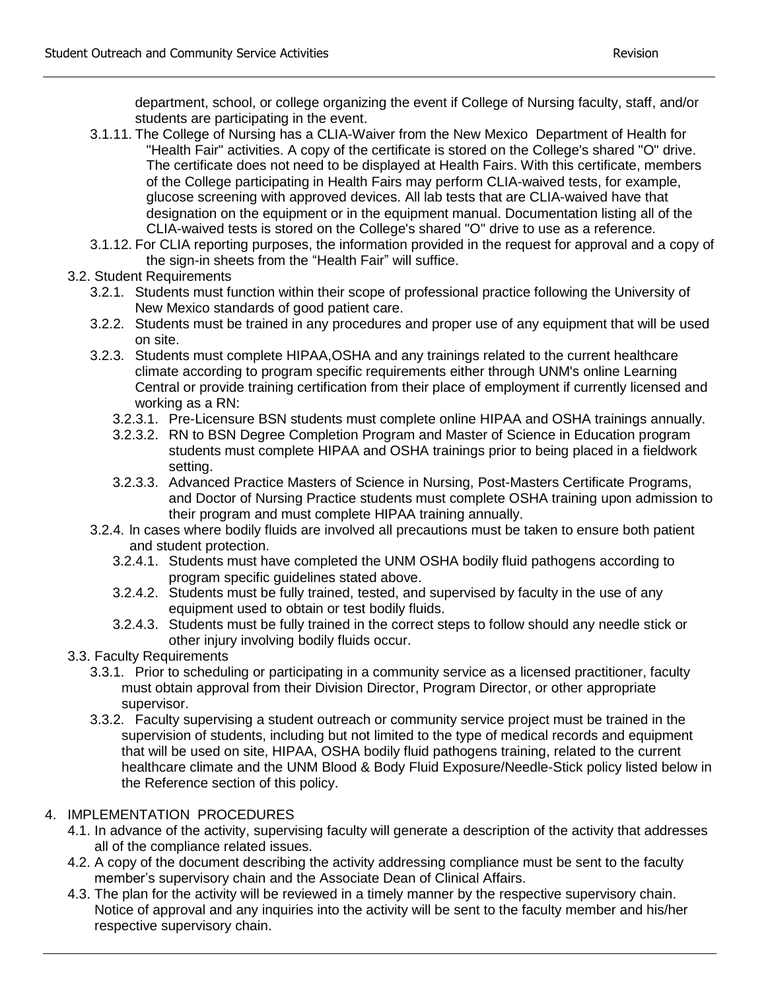department, school, or college organizing the event if College of Nursing faculty, staff, and/or students are participating in the event.

- 3.1.11. The College of Nursing has a CLIA-Waiver from the New Mexico Department of Health for "Health Fair" activities. A copy of the certificate is stored on the College's shared "O" drive. The certificate does not need to be displayed at Health Fairs. With this certificate, members of the College participating in Health Fairs may perform CLIA-waived tests, for example, glucose screening with approved devices. All lab tests that are CLIA-waived have that designation on the equipment or in the equipment manual. Documentation listing all of the CLIA-waived tests is stored on the College's shared "O" drive to use as a reference.
- 3.1.12. For CLIA reporting purposes, the information provided in the request for approval and a copy of the sign-in sheets from the "Health Fair" will suffice.

## 3.2. Student Requirements

- 3.2.1. Students must function within their scope of professional practice following the University of New Mexico standards of good patient care.
- 3.2.2. Students must be trained in any procedures and proper use of any equipment that will be used on site.
- 3.2.3. Students must complete HIPAA,OSHA and any trainings related to the current healthcare climate according to program specific requirements either through UNM's online Learning Central or provide training certification from their place of employment if currently licensed and working as a RN:
	- 3.2.3.1. Pre-Licensure BSN students must complete online HIPAA and OSHA trainings annually.
	- 3.2.3.2. RN to BSN Degree Completion Program and Master of Science in Education program students must complete HIPAA and OSHA trainings prior to being placed in a fieldwork setting.
	- 3.2.3.3. Advanced Practice Masters of Science in Nursing, Post-Masters Certificate Programs, and Doctor of Nursing Practice students must complete OSHA training upon admission to their program and must complete HIPAA training annually.
- 3.2.4. ln cases where bodily fluids are involved all precautions must be taken to ensure both patient and student protection.
	- 3.2.4.1. Students must have completed the UNM OSHA bodily fluid pathogens according to program specific guidelines stated above.
	- 3.2.4.2. Students must be fully trained, tested, and supervised by faculty in the use of any equipment used to obtain or test bodily fluids.
	- 3.2.4.3. Students must be fully trained in the correct steps to follow should any needle stick or other injury involving bodily fluids occur.
- 3.3. Faculty Requirements
	- 3.3.1. Prior to scheduling or participating in a community service as a licensed practitioner, faculty must obtain approval from their Division Director, Program Director, or other appropriate supervisor.
	- 3.3.2. Faculty supervising a student outreach or community service project must be trained in the supervision of students, including but not limited to the type of medical records and equipment that will be used on site, HIPAA, OSHA bodily fluid pathogens training, related to the current healthcare climate and the UNM Blood & Body Fluid Exposure/Needle-Stick policy listed below in the Reference section of this policy.

# 4. IMPLEMENTATION PROCEDURES

- 4.1. In advance of the activity, supervising faculty will generate a description of the activity that addresses all of the compliance related issues.
- 4.2. A copy of the document describing the activity addressing compliance must be sent to the faculty member's supervisory chain and the Associate Dean of Clinical Affairs.
- 4.3. The plan for the activity will be reviewed in a timely manner by the respective supervisory chain. Notice of approval and any inquiries into the activity will be sent to the faculty member and his/her respective supervisory chain.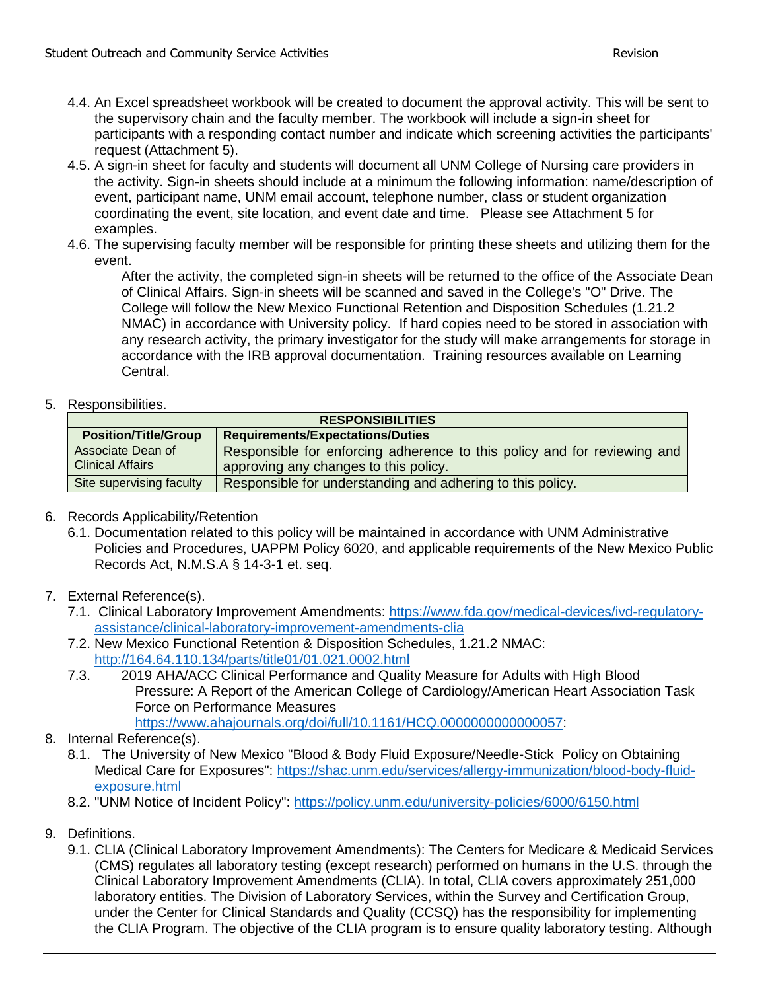- 4.4. An Excel spreadsheet workbook will be created to document the approval activity. This will be sent to the supervisory chain and the faculty member. The workbook will include a sign-in sheet for participants with a responding contact number and indicate which screening activities the participants' request (Attachment 5).
- 4.5. A sign-in sheet for faculty and students will document all UNM College of Nursing care providers in the activity. Sign-in sheets should include at a minimum the following information: name/description of event, participant name, UNM email account, telephone number, class or student organization coordinating the event, site location, and event date and time. Please see Attachment 5 for examples.
- 4.6. The supervising faculty member will be responsible for printing these sheets and utilizing them for the event.

After the activity, the completed sign-in sheets will be returned to the office of the Associate Dean of Clinical Affairs. Sign-in sheets will be scanned and saved in the College's "O" Drive. The College will follow the New Mexico Functional Retention and Disposition Schedules (1.21.2 NMAC) in accordance with University policy. If hard copies need to be stored in association with any research activity, the primary investigator for the study will make arrangements for storage in accordance with the IRB approval documentation. Training resources available on Learning Central.

5. Responsibilities.

| <b>RESPONSIBILITIES</b>                      |                                                                                                                   |  |
|----------------------------------------------|-------------------------------------------------------------------------------------------------------------------|--|
| <b>Position/Title/Group</b>                  | <b>Requirements/Expectations/Duties</b>                                                                           |  |
| Associate Dean of<br><b>Clinical Affairs</b> | Responsible for enforcing adherence to this policy and for reviewing and<br>approving any changes to this policy. |  |
| Site supervising faculty                     | Responsible for understanding and adhering to this policy.                                                        |  |

- 6. Records Applicability/Retention
	- 6.1. Documentation related to this policy will be maintained in accordance with UNM Administrative Policies and Procedures, UAPPM Policy 6020, and applicable requirements of the New Mexico Public Records Act, N.M.S.A § 14-3-1 et. seq.
- 7. External Reference(s).
	- 7.1. Clinical Laboratory Improvement Amendments: [https://www.fda.gov/medical-devices/ivd-regulatory](https://www.fda.gov/medical-devices/ivd-regulatory-assistance/clinical-laboratory-improvement-amendments-clia)[assistance/clinical-laboratory-improvement-amendments-clia](https://www.fda.gov/medical-devices/ivd-regulatory-assistance/clinical-laboratory-improvement-amendments-clia)
	- 7.2. New Mexico Functional Retention & Disposition Schedules, 1.21.2 NMAC: <http://164.64.110.134/parts/title01/01.021.0002.html>
	- 7.3. 2019 AHA/ACC Clinical Performance and Quality Measure for Adults with High Blood Pressure: A Report of the American College of Cardiology/American Heart Association Task Force on Performance Measures [https://www.ahajournals.org/doi/full/10.1161/HCQ.0000000000000057:](https://www.ahajournals.org/doi/full/10.1161/HCQ.0000000000000057)
- 8. Internal Reference(s).
	- 8.1. The University of New Mexico "Blood & Body Fluid Exposure/Needle-Stick Policy on Obtaining Medical Care for Exposures": [https://shac.unm.edu/services/allergy-immunization/blood-body-fluid](https://shac.unm.edu/services/allergy-immunization/blood-body-fluid-exposure.html)[exposure.html](https://shac.unm.edu/services/allergy-immunization/blood-body-fluid-exposure.html)
	- 8.2. "UNM Notice of Incident Policy": <https://policy.unm.edu/university-policies/6000/6150.html>
- 9. Definitions.
	- 9.1. CLIA (Clinical Laboratory Improvement Amendments): The Centers for Medicare & Medicaid Services (CMS) regulates all laboratory testing (except research) performed on humans in the U.S. through the Clinical Laboratory Improvement Amendments (CLIA). In total, CLIA covers approximately 251,000 laboratory entities. The Division of Laboratory Services, within the Survey and Certification Group, under the Center for Clinical Standards and Quality (CCSQ) has the responsibility for implementing the CLIA Program. The objective of the CLIA program is to ensure quality laboratory testing. Although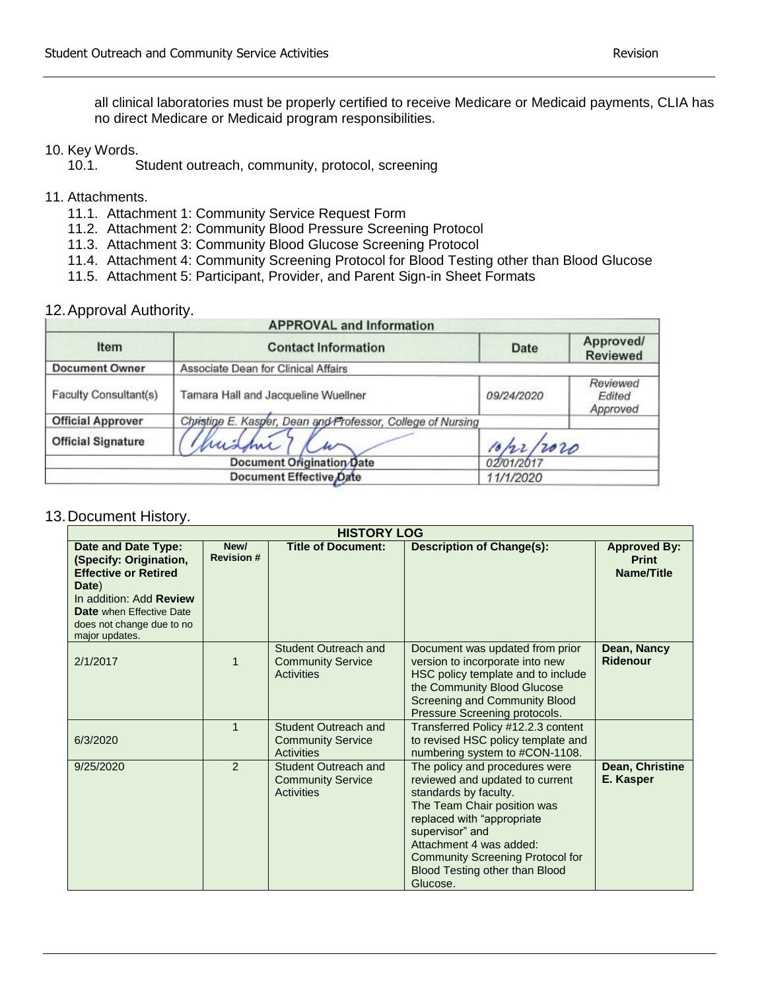all clinical laboratories must be properly certified to receive Medicare or Medicaid payments, CLIA has no direct Medicare or Medicaid program responsibilities.

## 10. Key Words.

- 10.1. Student outreach, community, protocol, screening
- 11. Attachments.
	- 11.1. Attachment 1: Community Service Request Form
	- 11.2. Attachment 2: Community Blood Pressure Screening Protocol
	- 11.3. Attachment 3: Community Blood Glucose Screening Protocol
	- 11.4. Attachment 4: Community Screening Protocol for Blood Testing other than Blood Glucose
	- 11.5. Attachment 5: Participant, Provider, and Parent Sign-in Sheet Formats

## 12.Approval Authority.

| <b>APPROVAL and Information</b> |                                                             |             |                                |
|---------------------------------|-------------------------------------------------------------|-------------|--------------------------------|
| Item                            | <b>Contact Information</b>                                  | <b>Date</b> | Approved/<br><b>Reviewed</b>   |
| <b>Document Owner</b>           | Associate Dean for Clinical Affairs                         |             |                                |
| Faculty Consultant(s)           | Tamara Hall and Jacqueline Wuellner                         | 09/24/2020  | Reviewed<br>Edited<br>Approved |
| <b>Official Approver</b>        | Christine E. Kasper, Dean and Professor, College of Nursing |             |                                |
| <b>Official Signature</b>       | mishn                                                       | 10/22/2020  |                                |
| Document Origination Date       |                                                             | 02/01/2017  |                                |
| Document Effective Date         |                                                             | 11/1/2020   |                                |

#### 13.Document History.

| <b>HISTORY LOG</b>                                                                                                                                                                                 |                          |                                                                       |                                                                                                                                                                                                                                                                                                |                                                          |
|----------------------------------------------------------------------------------------------------------------------------------------------------------------------------------------------------|--------------------------|-----------------------------------------------------------------------|------------------------------------------------------------------------------------------------------------------------------------------------------------------------------------------------------------------------------------------------------------------------------------------------|----------------------------------------------------------|
| Date and Date Type:<br>(Specify: Origination,<br><b>Effective or Retired</b><br>Date)<br>In addition: Add Review<br><b>Date</b> when Effective Date<br>does not change due to no<br>major updates. | New/<br><b>Revision#</b> | <b>Title of Document:</b>                                             | <b>Description of Change(s):</b>                                                                                                                                                                                                                                                               | <b>Approved By:</b><br><b>Print</b><br><b>Name/Title</b> |
| 2/1/2017                                                                                                                                                                                           | 1                        | Student Outreach and<br><b>Community Service</b><br>Activities        | Document was updated from prior<br>version to incorporate into new<br>HSC policy template and to include<br>the Community Blood Glucose<br>Screening and Community Blood<br>Pressure Screening protocols.                                                                                      | Dean, Nancy<br><b>Ridenour</b>                           |
| 6/3/2020                                                                                                                                                                                           | 1                        | Student Outreach and<br><b>Community Service</b><br>Activities        | Transferred Policy #12.2.3 content<br>to revised HSC policy template and<br>numbering system to #CON-1108.                                                                                                                                                                                     |                                                          |
| 9/25/2020                                                                                                                                                                                          | 2                        | Student Outreach and<br><b>Community Service</b><br><b>Activities</b> | The policy and procedures were<br>reviewed and updated to current<br>standards by faculty.<br>The Team Chair position was<br>replaced with "appropriate<br>supervisor" and<br>Attachment 4 was added:<br><b>Community Screening Protocol for</b><br>Blood Testing other than Blood<br>Glucose. | Dean, Christine<br>E. Kasper                             |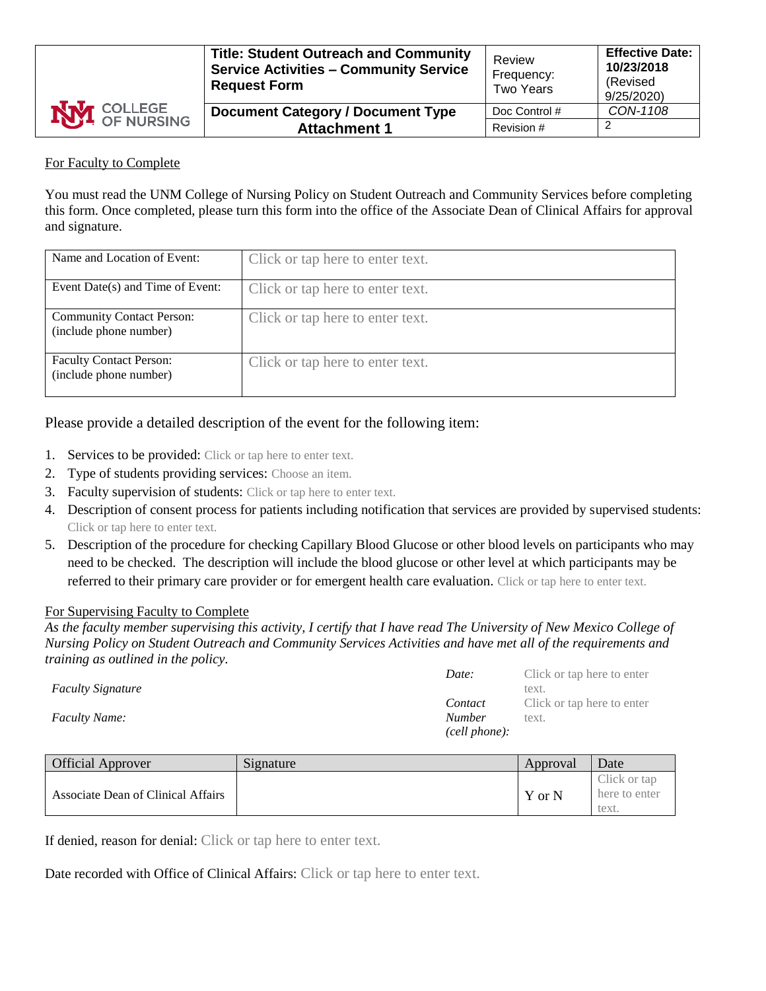| <b>NVI</b> COLLEGE | <b>Title: Student Outreach and Community</b><br><b>Service Activities - Community Service</b><br><b>Request Form</b> | Review<br>Frequency:<br>Two Years | <b>Effective Date:</b><br>10/23/2018<br>(Revised<br>9/25/2020) |
|--------------------|----------------------------------------------------------------------------------------------------------------------|-----------------------------------|----------------------------------------------------------------|
|                    | <b>Document Category / Document Type</b>                                                                             | Doc Control #                     | CON-1108                                                       |
|                    | <b>Attachment 1</b>                                                                                                  | Revision #                        |                                                                |

### For Faculty to Complete

You must read the UNM College of Nursing Policy on Student Outreach and Community Services before completing this form. Once completed, please turn this form into the office of the Associate Dean of Clinical Affairs for approval and signature.

| Name and Location of Event:                                | Click or tap here to enter text. |
|------------------------------------------------------------|----------------------------------|
| Event Date(s) and Time of Event:                           | Click or tap here to enter text. |
| <b>Community Contact Person:</b><br>(include phone number) | Click or tap here to enter text. |
| <b>Faculty Contact Person:</b><br>(include phone number)   | Click or tap here to enter text. |

Please provide a detailed description of the event for the following item:

- 1. Services to be provided: Click or tap here to enter text.
- 2. Type of students providing services: Choose an item.
- 3. Faculty supervision of students: Click or tap here to enter text.
- 4. Description of consent process for patients including notification that services are provided by supervised students: Click or tap here to enter text.
- 5. Description of the procedure for checking Capillary Blood Glucose or other blood levels on participants who may need to be checked. The description will include the blood glucose or other level at which participants may be referred to their primary care provider or for emergent health care evaluation. Click or tap here to enter text.

#### For Supervising Faculty to Complete

*As the faculty member supervising this activity, I certify that I have read The University of New Mexico College of Nursing Policy on Student Outreach and Community Services Activities and have met all of the requirements and training as outlined in the policy.*

|                          | Date:         | Click or tap here to enter |
|--------------------------|---------------|----------------------------|
| <b>Faculty Signature</b> |               | text.                      |
|                          | Contact       | Click or tap here to enter |
| <b>Faculty Name:</b>     | <b>Number</b> | text.                      |
|                          | (cell phone): |                            |

| <b>Official Approver</b>           | Signature | Approval | Date                                   |
|------------------------------------|-----------|----------|----------------------------------------|
| Associate Dean of Clinical Affairs |           | Y or N   | Click or tap<br>here to enter<br>text. |

If denied, reason for denial: Click or tap here to enter text.

Date recorded with Office of Clinical Affairs: Click or tap here to enter text.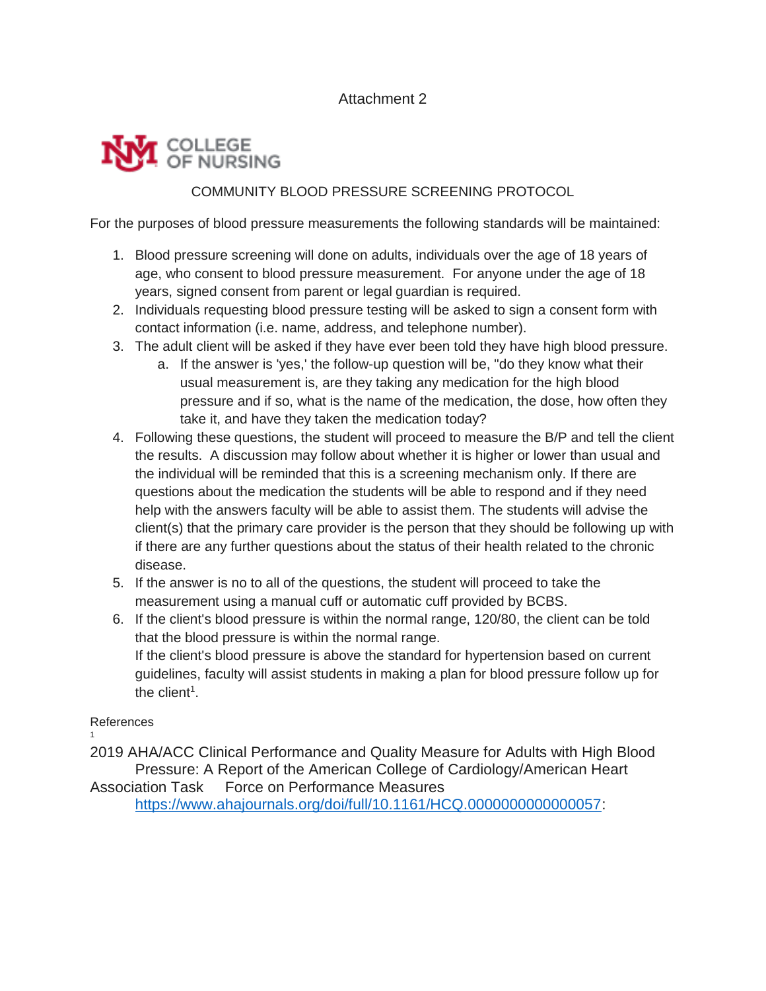# Attachment 2

# COLLEGE<br>OF NURSING

# COMMUNITY BLOOD PRESSURE SCREENING PROTOCOL

For the purposes of blood pressure measurements the following standards will be maintained:

- 1. Blood pressure screening will done on adults, individuals over the age of 18 years of age, who consent to blood pressure measurement. For anyone under the age of 18 years, signed consent from parent or legal guardian is required.
- 2. Individuals requesting blood pressure testing will be asked to sign a consent form with contact information (i.e. name, address, and telephone number).
- 3. The adult client will be asked if they have ever been told they have high blood pressure.
	- a. If the answer is 'yes,' the follow-up question will be, "do they know what their usual measurement is, are they taking any medication for the high blood pressure and if so, what is the name of the medication, the dose, how often they take it, and have they taken the medication today?
- 4. Following these questions, the student will proceed to measure the B/P and tell the client the results. A discussion may follow about whether it is higher or lower than usual and the individual will be reminded that this is a screening mechanism only. If there are questions about the medication the students will be able to respond and if they need help with the answers faculty will be able to assist them. The students will advise the client(s) that the primary care provider is the person that they should be following up with if there are any further questions about the status of their health related to the chronic disease.
- 5. If the answer is no to all of the questions, the student will proceed to take the measurement using a manual cuff or automatic cuff provided by BCBS.
- 6. If the client's blood pressure is within the normal range, 120/80, the client can be told that the blood pressure is within the normal range. If the client's blood pressure is above the standard for hypertension based on current guidelines, faculty will assist students in making a plan for blood pressure follow up for the client<sup>1</sup>.

#### References 1

2019 AHA/ACC Clinical Performance and Quality Measure for Adults with High Blood Pressure: A Report of the American College of Cardiology/American Heart Association Task Force on Performance Measures [https://www.ahajournals.org/doi/full/10.1161/HCQ.0000000000000057:](https://www.ahajournals.org/doi/full/10.1161/HCQ.0000000000000057)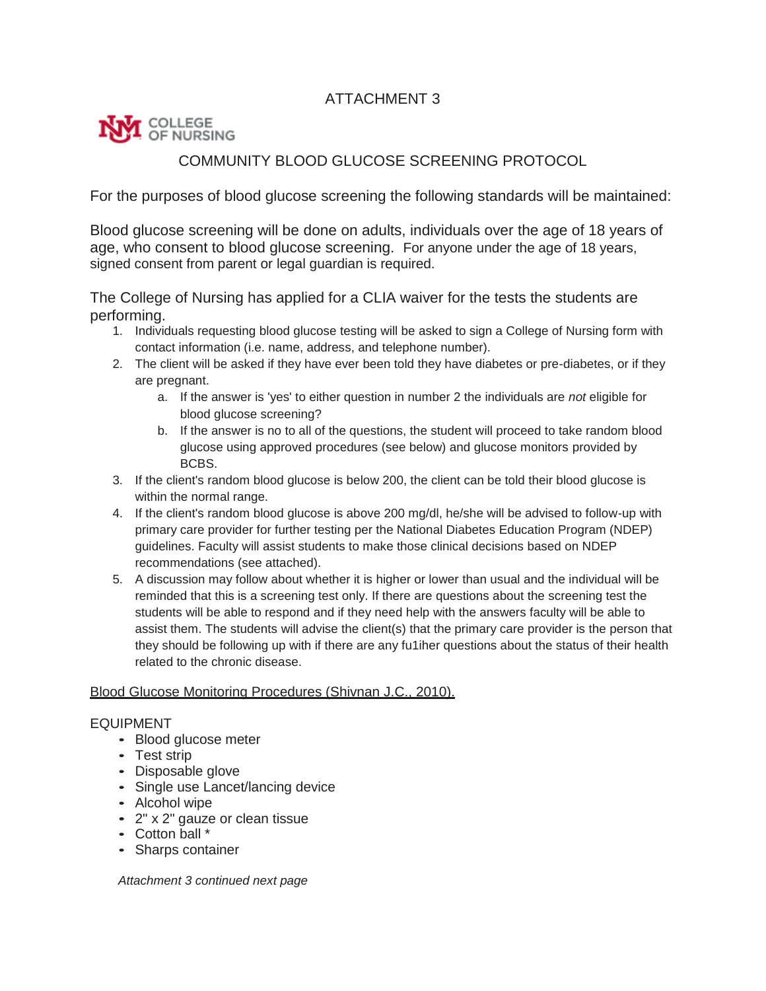# ATTACHMENT 3



# COMMUNITY BLOOD GLUCOSE SCREENING PROTOCOL

For the purposes of blood glucose screening the following standards will be maintained:

Blood glucose screening will be done on adults, individuals over the age of 18 years of age, who consent to blood glucose screening. For anyone under the age of 18 years, signed consent from parent or legal guardian is required.

The College of Nursing has applied for a CLIA waiver for the tests the students are performing.

- 1. Individuals requesting blood glucose testing will be asked to sign a College of Nursing form with contact information (i.e. name, address, and telephone number).
- 2. The client will be asked if they have ever been told they have diabetes or pre-diabetes, or if they are pregnant.
	- a. If the answer is 'yes' to either question in number 2 the individuals are *not* eligible for blood glucose screening?
	- b. If the answer is no to all of the questions, the student will proceed to take random blood glucose using approved procedures (see below) and glucose monitors provided by BCBS.
- 3. If the client's random blood glucose is below 200, the client can be told their blood glucose is within the normal range.
- 4. If the client's random blood glucose is above 200 mg/dl, he/she will be advised to follow-up with primary care provider for further testing per the National Diabetes Education Program (NDEP) guidelines. Faculty will assist students to make those clinical decisions based on NDEP recommendations (see attached).
- 5. A discussion may follow about whether it is higher or lower than usual and the individual will be reminded that this is a screening test only. If there are questions about the screening test the students will be able to respond and if they need help with the answers faculty will be able to assist them. The students will advise the client(s) that the primary care provider is the person that they should be following up with if there are any fu1iher questions about the status of their health related to the chronic disease.

## Blood Glucose Monitoring Procedures (Shivnan J.C., 2010).

#### EQUIPMENT

- Blood glucose meter
- Test strip
- Disposable glove
- Single use Lancet/lancing device
- Alcohol wipe
- 2" x 2" gauze or clean tissue
- Cotton ball \*
- Sharps container

*Attachment 3 continued next page*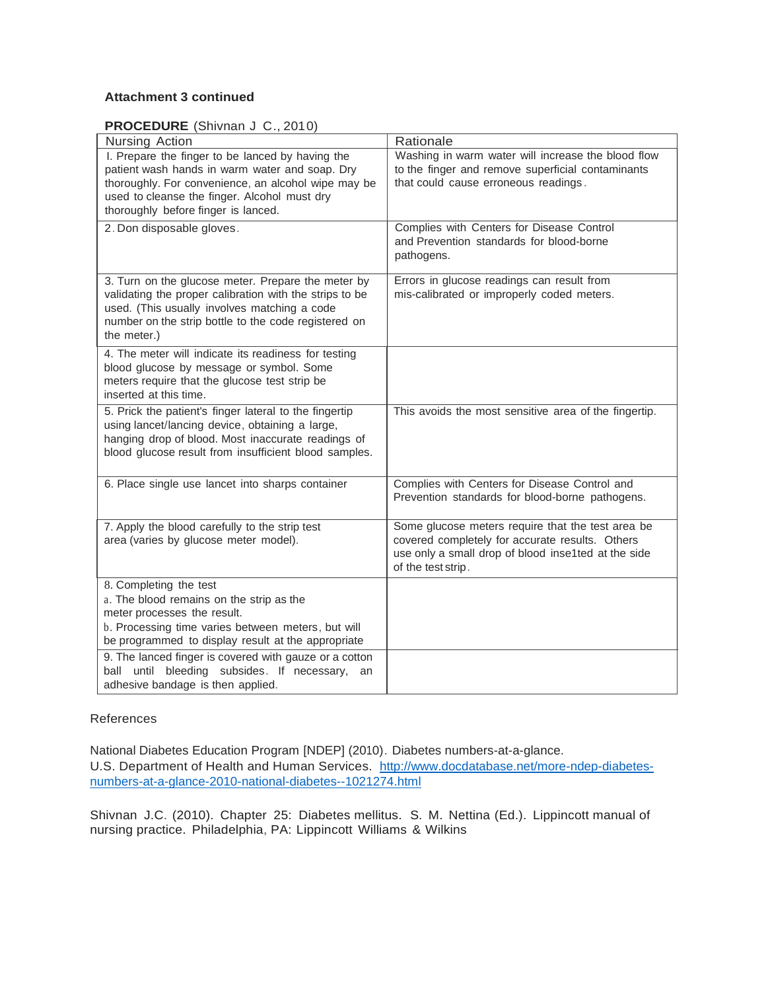## **Attachment 3 continued**

#### **PROCEDURE** (Shivnan J C., 2010)

| Nursing Action                                                                                                                                                                                                                                   | Rationale                                                                                                                                                                         |
|--------------------------------------------------------------------------------------------------------------------------------------------------------------------------------------------------------------------------------------------------|-----------------------------------------------------------------------------------------------------------------------------------------------------------------------------------|
| I. Prepare the finger to be lanced by having the<br>patient wash hands in warm water and soap. Dry<br>thoroughly. For convenience, an alcohol wipe may be<br>used to cleanse the finger. Alcohol must dry<br>thoroughly before finger is lanced. | Washing in warm water will increase the blood flow<br>to the finger and remove superficial contaminants<br>that could cause erroneous readings.                                   |
| 2. Don disposable gloves.                                                                                                                                                                                                                        | Complies with Centers for Disease Control<br>and Prevention standards for blood-borne<br>pathogens.                                                                               |
| 3. Turn on the glucose meter. Prepare the meter by<br>validating the proper calibration with the strips to be<br>used. (This usually involves matching a code<br>number on the strip bottle to the code registered on<br>the meter.)             | Errors in glucose readings can result from<br>mis-calibrated or improperly coded meters.                                                                                          |
| 4. The meter will indicate its readiness for testing<br>blood glucose by message or symbol. Some<br>meters require that the glucose test strip be<br>inserted at this time.                                                                      |                                                                                                                                                                                   |
| 5. Prick the patient's finger lateral to the fingertip<br>using lancet/lancing device, obtaining a large,<br>hanging drop of blood. Most inaccurate readings of<br>blood glucose result from insufficient blood samples.                         | This avoids the most sensitive area of the fingertip.                                                                                                                             |
| 6. Place single use lancet into sharps container                                                                                                                                                                                                 | Complies with Centers for Disease Control and<br>Prevention standards for blood-borne pathogens.                                                                                  |
| 7. Apply the blood carefully to the strip test<br>area (varies by glucose meter model).                                                                                                                                                          | Some glucose meters require that the test area be<br>covered completely for accurate results. Others<br>use only a small drop of blood inse1ted at the side<br>of the test strip. |
| 8. Completing the test<br>a. The blood remains on the strip as the<br>meter processes the result.<br>b. Processing time varies between meters, but will<br>be programmed to display result at the appropriate                                    |                                                                                                                                                                                   |
| 9. The lanced finger is covered with gauze or a cotton<br>until bleeding subsides. If necessary,<br>ball<br>an<br>adhesive bandage is then applied.                                                                                              |                                                                                                                                                                                   |

#### References

National Diabetes Education Program [NDEP] (2010). Diabetes numbers-at-a-glance. U.S. Department of Health and Human Services. [http://www.docdatabase.net/more-ndep-diabetes](http://www.docdatabase.net/more-ndep-diabetes-numbers-at-a-glance-2010-national-diabetes--1021274.html)[numbers-at-a-glance-2010-national-diabetes--1021274.html](http://www.docdatabase.net/more-ndep-diabetes-numbers-at-a-glance-2010-national-diabetes--1021274.html)

Shivnan J.C. (2010). Chapter 25: Diabetes mellitus. S. M. Nettina (Ed.). Lippincott manual of nursing practice. Philadelphia, PA: Lippincott Williams & Wilkins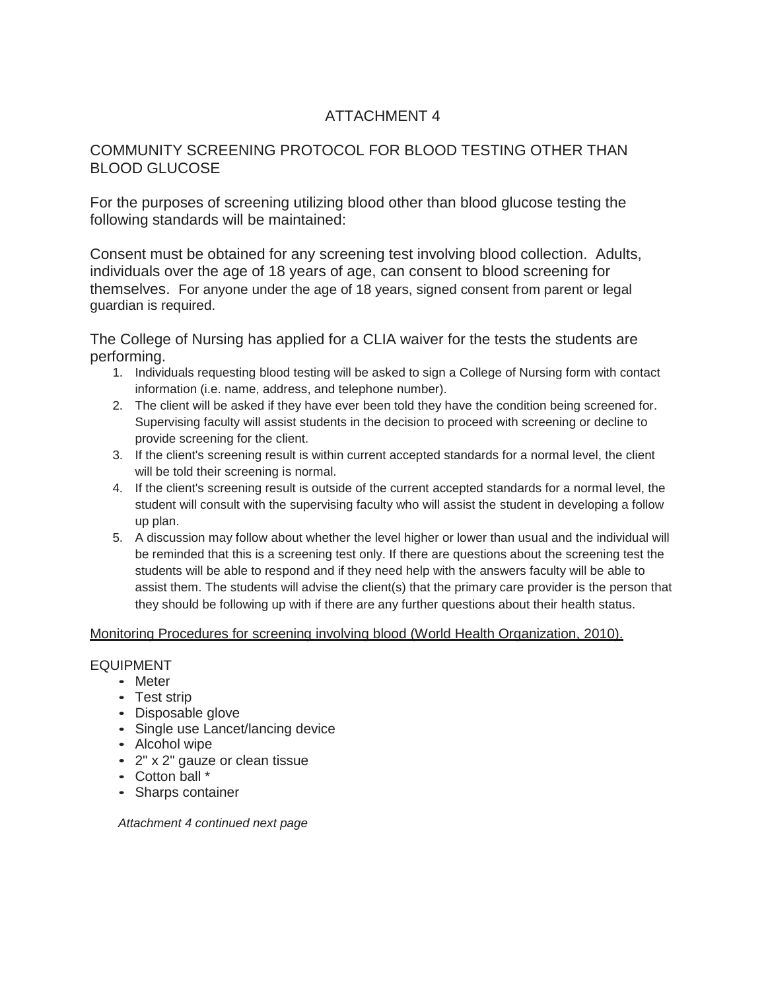# ATTACHMENT 4

# COMMUNITY SCREENING PROTOCOL FOR BLOOD TESTING OTHER THAN BLOOD GLUCOSE

For the purposes of screening utilizing blood other than blood glucose testing the following standards will be maintained:

Consent must be obtained for any screening test involving blood collection. Adults, individuals over the age of 18 years of age, can consent to blood screening for themselves. For anyone under the age of 18 years, signed consent from parent or legal guardian is required.

The College of Nursing has applied for a CLIA waiver for the tests the students are performing.

- 1. Individuals requesting blood testing will be asked to sign a College of Nursing form with contact information (i.e. name, address, and telephone number).
- 2. The client will be asked if they have ever been told they have the condition being screened for. Supervising faculty will assist students in the decision to proceed with screening or decline to provide screening for the client.
- 3. If the client's screening result is within current accepted standards for a normal level, the client will be told their screening is normal.
- 4. If the client's screening result is outside of the current accepted standards for a normal level, the student will consult with the supervising faculty who will assist the student in developing a follow up plan.
- 5. A discussion may follow about whether the level higher or lower than usual and the individual will be reminded that this is a screening test only. If there are questions about the screening test the students will be able to respond and if they need help with the answers faculty will be able to assist them. The students will advise the client(s) that the primary care provider is the person that they should be following up with if there are any further questions about their health status.

#### Monitoring Procedures for screening involving blood (World Health Organization, 2010).

#### EQUIPMENT

- Meter
- Test strip
- Disposable glove
- Single use Lancet/lancing device
- Alcohol wipe
- 2" x 2" gauze or clean tissue
- Cotton ball \*
- Sharps container

*Attachment 4 continued next page*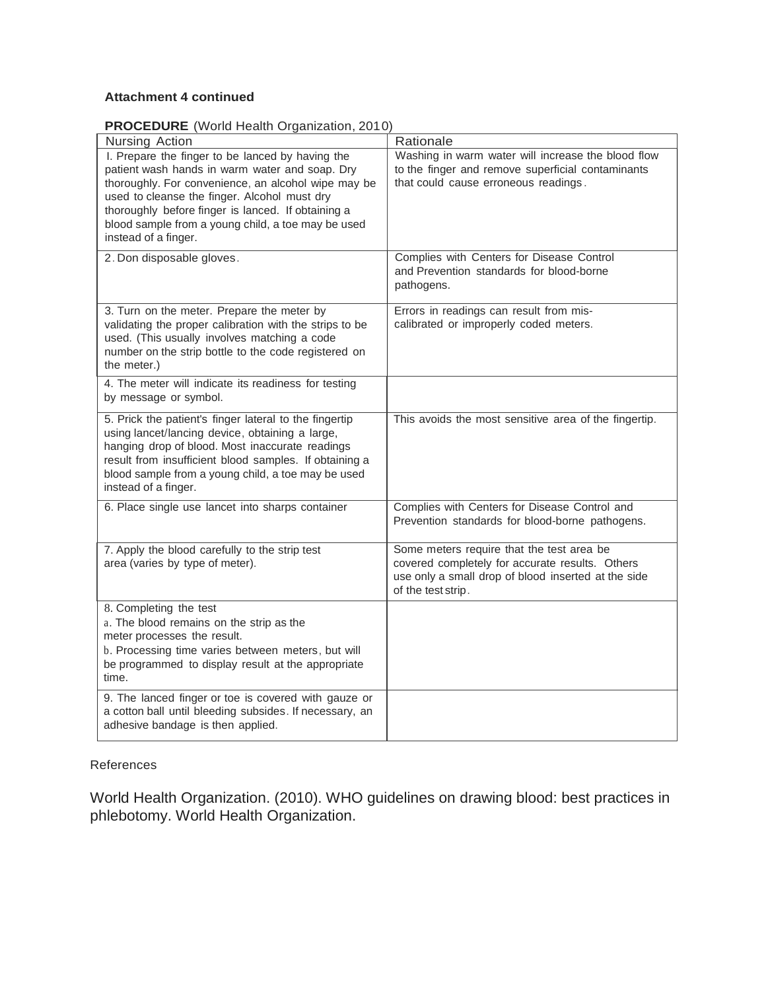## **Attachment 4 continued**

| <b>PROCEDURE</b> (World Health Organization, 2010) |  |  |
|----------------------------------------------------|--|--|

| <b>Noteborne</b> (World Hodili) Organization, 201<br>Nursing Action                                                                                                                                                                                                                                                                           | Rationale                                                                                                                                                                 |
|-----------------------------------------------------------------------------------------------------------------------------------------------------------------------------------------------------------------------------------------------------------------------------------------------------------------------------------------------|---------------------------------------------------------------------------------------------------------------------------------------------------------------------------|
| I. Prepare the finger to be lanced by having the<br>patient wash hands in warm water and soap. Dry<br>thoroughly. For convenience, an alcohol wipe may be<br>used to cleanse the finger. Alcohol must dry<br>thoroughly before finger is lanced. If obtaining a<br>blood sample from a young child, a toe may be used<br>instead of a finger. | Washing in warm water will increase the blood flow<br>to the finger and remove superficial contaminants<br>that could cause erroneous readings.                           |
| 2. Don disposable gloves.                                                                                                                                                                                                                                                                                                                     | Complies with Centers for Disease Control<br>and Prevention standards for blood-borne<br>pathogens.                                                                       |
| 3. Turn on the meter. Prepare the meter by<br>validating the proper calibration with the strips to be<br>used. (This usually involves matching a code<br>number on the strip bottle to the code registered on<br>the meter.)                                                                                                                  | Errors in readings can result from mis-<br>calibrated or improperly coded meters.                                                                                         |
| 4. The meter will indicate its readiness for testing<br>by message or symbol.                                                                                                                                                                                                                                                                 |                                                                                                                                                                           |
| 5. Prick the patient's finger lateral to the fingertip<br>using lancet/lancing device, obtaining a large,<br>hanging drop of blood. Most inaccurate readings<br>result from insufficient blood samples. If obtaining a<br>blood sample from a young child, a toe may be used<br>instead of a finger.                                          | This avoids the most sensitive area of the fingertip.                                                                                                                     |
| 6. Place single use lancet into sharps container                                                                                                                                                                                                                                                                                              | Complies with Centers for Disease Control and<br>Prevention standards for blood-borne pathogens.                                                                          |
| 7. Apply the blood carefully to the strip test<br>area (varies by type of meter).                                                                                                                                                                                                                                                             | Some meters require that the test area be<br>covered completely for accurate results. Others<br>use only a small drop of blood inserted at the side<br>of the test strip. |
| 8. Completing the test<br>a. The blood remains on the strip as the<br>meter processes the result.<br>b. Processing time varies between meters, but will<br>be programmed to display result at the appropriate<br>time.                                                                                                                        |                                                                                                                                                                           |
| 9. The lanced finger or toe is covered with gauze or<br>a cotton ball until bleeding subsides. If necessary, an<br>adhesive bandage is then applied.                                                                                                                                                                                          |                                                                                                                                                                           |

## References

World Health Organization. (2010). WHO guidelines on drawing blood: best practices in phlebotomy. World Health Organization.